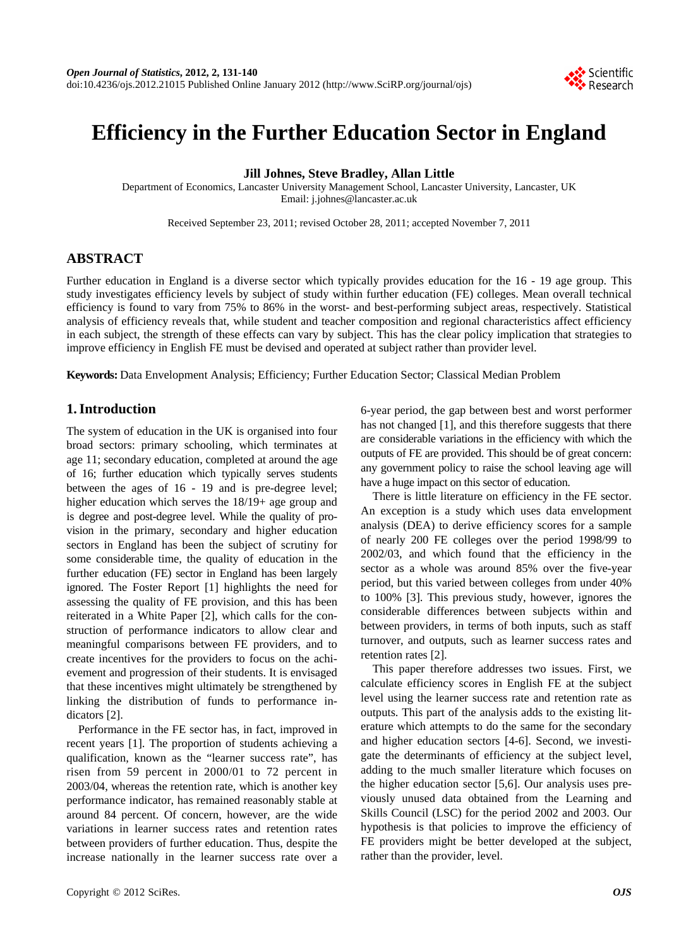

# **Efficiency in the Further Education Sector in England**

**Jill Johnes, Steve Bradley, Allan Little** 

Department of Economics, Lancaster University Management School, Lancaster University, Lancaster, UK Email: j.johnes@lancaster.ac.uk

Received September 23, 2011; revised October 28, 2011; accepted November 7, 2011

# **ABSTRACT**

Further education in England is a diverse sector which typically provides education for the 16 - 19 age group. This study investigates efficiency levels by subject of study within further education (FE) colleges. Mean overall technical efficiency is found to vary from 75% to 86% in the worst- and best-performing subject areas, respectively. Statistical analysis of efficiency reveals that, while student and teacher composition and regional characteristics affect efficiency in each subject, the strength of these effects can vary by subject. This has the clear policy implication that strategies to improve efficiency in English FE must be devised and operated at subject rather than provider level.

**Keywords:** Data Envelopment Analysis; Efficiency; Further Education Sector; Classical Median Problem

# **1. Introduction**

The system of education in the UK is organised into four broad sectors: primary schooling, which terminates at age 11; secondary education, completed at around the age of 16; further education which typically serves students between the ages of 16 - 19 and is pre-degree level; higher education which serves the 18/19+ age group and is degree and post-degree level. While the quality of provision in the primary, secondary and higher education sectors in England has been the subject of scrutiny for some considerable time, the quality of education in the further education (FE) sector in England has been largely ignored. The Foster Report [1] highlights the need for assessing the quality of FE provision, and this has been reiterated in a White Paper [2], which calls for the construction of performance indicators to allow clear and meaningful comparisons between FE providers, and to create incentives for the providers to focus on the achievement and progression of their students. It is envisaged that these incentives might ultimately be strengthened by linking the distribution of funds to performance indicators [2].

Performance in the FE sector has, in fact, improved in recent years [1]. The proportion of students achieving a qualification, known as the "learner success rate", has risen from 59 percent in 2000/01 to 72 percent in 2003/04, whereas the retention rate, which is another key performance indicator, has remained reasonably stable at around 84 percent. Of concern, however, are the wide variations in learner success rates and retention rates between providers of further education. Thus, despite the increase nationally in the learner success rate over a 6-year period, the gap between best and worst performer has not changed [1], and this therefore suggests that there are considerable variations in the efficiency with which the outputs of FE are provided. This should be of great concern: any government policy to raise the school leaving age will have a huge impact on this sector of education.

There is little literature on efficiency in the FE sector. An exception is a study which uses data envelopment analysis (DEA) to derive efficiency scores for a sample of nearly 200 FE colleges over the period 1998/99 to 2002/03, and which found that the efficiency in the sector as a whole was around 85% over the five-year period, but this varied between colleges from under 40% to 100% [3]. This previous study, however, ignores the considerable differences between subjects within and between providers, in terms of both inputs, such as staff turnover, and outputs, such as learner success rates and retention rates [2].

This paper therefore addresses two issues. First, we calculate efficiency scores in English FE at the subject level using the learner success rate and retention rate as outputs. This part of the analysis adds to the existing literature which attempts to do the same for the secondary and higher education sectors [4-6]. Second, we investigate the determinants of efficiency at the subject level, adding to the much smaller literature which focuses on the higher education sector [5,6]. Our analysis uses previously unused data obtained from the Learning and Skills Council (LSC) for the period 2002 and 2003. Our hypothesis is that policies to improve the efficiency of FE providers might be better developed at the subject, rather than the provider, level.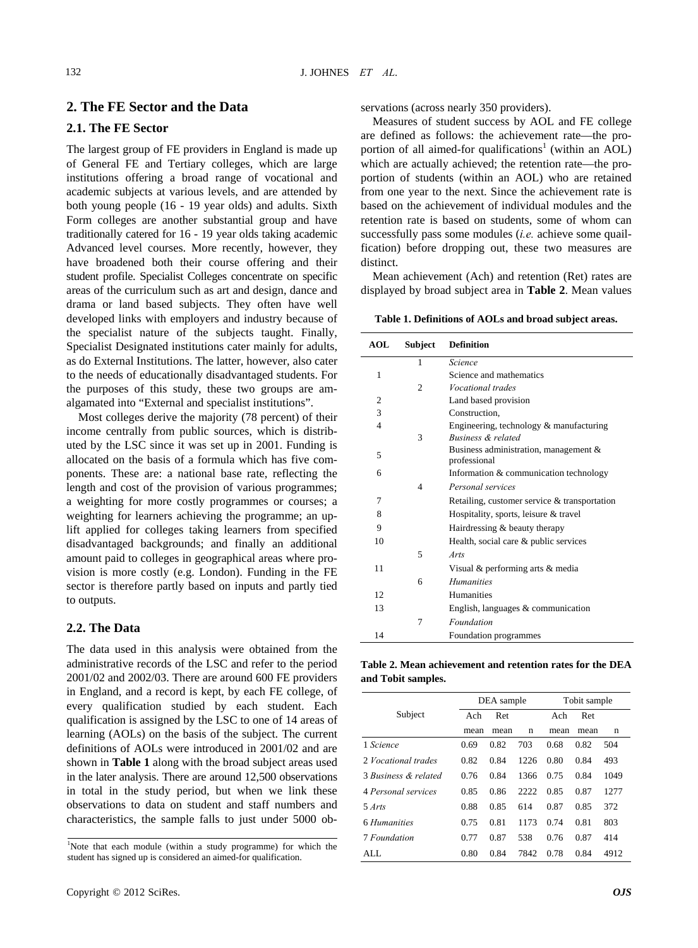# **2. The FE Sector and the Data**

#### **2.1. The FE Sector**

The largest group of FE providers in England is made up of General FE and Tertiary colleges, which are large institutions offering a broad range of vocational and academic subjects at various levels, and are attended by both young people (16 - 19 year olds) and adults. Sixth Form colleges are another substantial group and have traditionally catered for 16 - 19 year olds taking academic Advanced level courses. More recently, however, they have broadened both their course offering and their student profile. Specialist Colleges concentrate on specific areas of the curriculum such as art and design, dance and drama or land based subjects. They often have well developed links with employers and industry because of the specialist nature of the subjects taught. Finally, Specialist Designated institutions cater mainly for adults, as do External Institutions. The latter, however, also cater to the needs of educationally disadvantaged students. For the purposes of this study, these two groups are amalgamated into "External and specialist institutions".

Most colleges derive the majority (78 percent) of their income centrally from public sources, which is distributed by the LSC since it was set up in 2001. Funding is allocated on the basis of a formula which has five components. These are: a national base rate, reflecting the length and cost of the provision of various programmes; a weighting for more costly programmes or courses; a weighting for learners achieving the programme; an uplift applied for colleges taking learners from specified disadvantaged backgrounds; and finally an additional amount paid to colleges in geographical areas where provision is more costly (e.g. London). Funding in the FE sector is therefore partly based on inputs and partly tied to outputs.

## **2.2. The Data**

The data used in this analysis were obtained from the administrative records of the LSC and refer to the period 2001/02 and 2002/03. There are around 600 FE providers in England, and a record is kept, by each FE college, of every qualification studied by each student. Each qualification is assigned by the LSC to one of 14 areas of learning (AOLs) on the basis of the subject. The current definitions of AOLs were introduced in 2001/02 and are shown in **Table 1** along with the broad subject areas used in the later analysis. There are around 12,500 observations in total in the study period, but when we link these observations to data on student and staff numbers and characteristics, the sample falls to just under 5000 observations (across nearly 350 providers).

Measures of student success by AOL and FE college are defined as follows: the achievement rate—the proportion of all aimed-for qualifications<sup>1</sup> (within an AOL) which are actually achieved; the retention rate—the proportion of students (within an AOL) who are retained from one year to the next. Since the achievement rate is based on the achievement of individual modules and the retention rate is based on students, some of whom can successfully pass some modules (*i.e.* achieve some quailfication) before dropping out, these two measures are distinct.

Mean achievement (Ach) and retention (Ret) rates are displayed by broad subject area in **Table 2**. Mean values

**Table 1. Definitions of AOLs and broad subject areas.**

| <b>AOL</b>     | Subject        | <b>Definition</b>                                        |
|----------------|----------------|----------------------------------------------------------|
|                | 1              | Science                                                  |
| 1              |                | Science and mathematics                                  |
|                | $\overline{c}$ | <i>Vocational trades</i>                                 |
| 2              |                | Land based provision                                     |
| 3              |                | Construction.                                            |
| $\overline{4}$ |                | Engineering, technology & manufacturing                  |
|                | 3              | Business & related                                       |
| 5              |                | Business administration, management $\&$<br>professional |
| 6              |                | Information & communication technology                   |
|                | 4              | Personal services                                        |
| 7              |                | Retailing, customer service & transportation             |
| 8              |                | Hospitality, sports, leisure & travel                    |
| 9              |                | Hairdressing & beauty therapy                            |
| 10             |                | Health, social care & public services                    |
|                | 5              | Arts                                                     |
| 11             |                | Visual & performing arts & media                         |
|                | 6              | <b>Humanities</b>                                        |
| 12             |                | <b>Humanities</b>                                        |
| 13             |                | English, languages $&$ communication                     |
|                | 7              | Foundation                                               |
| 14             |                | Foundation programmes                                    |

**Table 2. Mean achievement and retention rates for the DEA and Tobit samples.** 

|                      |      | DEA sample |      |      | Tobit sample |      |
|----------------------|------|------------|------|------|--------------|------|
| Subject              | Ach  | Ret        |      | Ach  | <b>Ret</b>   |      |
|                      | mean | mean       | n    | mean | mean         | n    |
| 1 Science            | 0.69 | 0.82       | 703  | 0.68 | 0.82         | 504  |
| 2 Vocational trades  | 0.82 | 0.84       | 1226 | 0.80 | 0.84         | 493  |
| 3 Business & related | 0.76 | 0.84       | 1366 | 0.75 | 0.84         | 1049 |
| 4 Personal services  | 0.85 | 0.86       | 2222 | 0.85 | 0.87         | 1277 |
| 5 Arts               | 0.88 | 0.85       | 614  | 0.87 | 0.85         | 372  |
| 6 Humanities         | 0.75 | 0.81       | 1173 | 0.74 | 0.81         | 803  |
| 7 Foundation         | 0.77 | 0.87       | 538  | 0.76 | 0.87         | 414  |
| ALL.                 | 0.80 | 0.84       | 7842 | 0.78 | 0.84         | 4912 |

<sup>&</sup>lt;sup>1</sup>Note that each module (within a study programme) for which the student has signed up is considered an aimed-for qualification.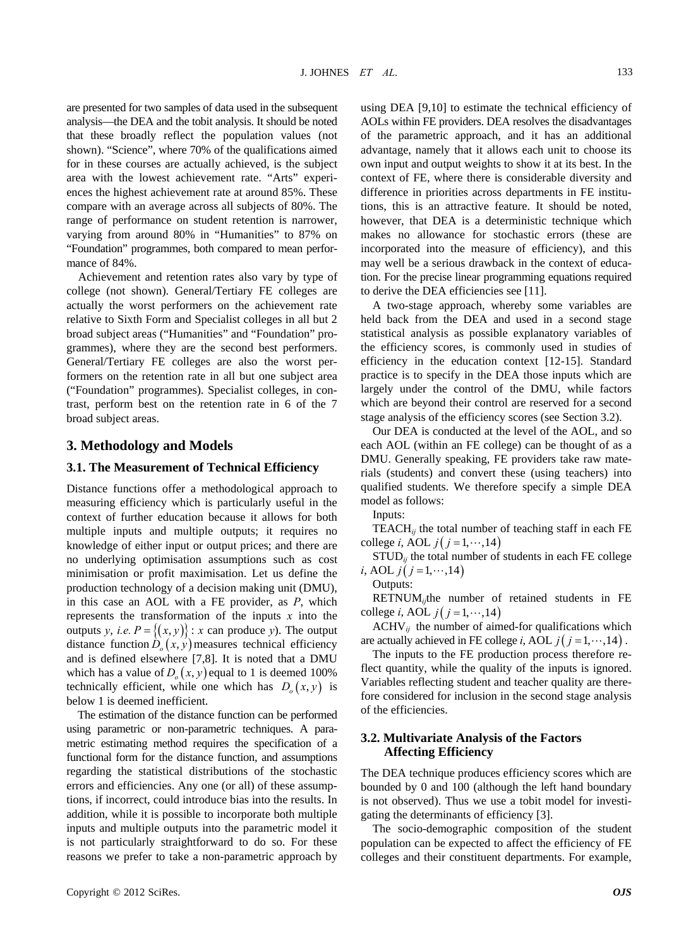are presented for two samples of data used in the subsequent analysis—the DEA and the tobit analysis. It should be noted that these broadly reflect the population values (not shown). "Science", where 70% of the qualifications aimed for in these courses are actually achieved, is the subject area with the lowest achievement rate. "Arts" experiences the highest achievement rate at around 85%. These compare with an average across all subjects of 80%. The range of performance on student retention is narrower, varying from around 80% in "Humanities" to 87% on "Foundation" programmes, both compared to mean performance of 84%.

Achievement and retention rates also vary by type of college (not shown). General/Tertiary FE colleges are actually the worst performers on the achievement rate relative to Sixth Form and Specialist colleges in all but 2 broad subject areas ("Humanities" and "Foundation" programmes), where they are the second best performers. General/Tertiary FE colleges are also the worst performers on the retention rate in all but one subject area ("Foundation" programmes). Specialist colleges, in contrast, perform best on the retention rate in 6 of the 7 broad subject areas.

#### **3. Methodology and Models**

#### **3.1. The Measurement of Technical Efficiency**

Distance functions offer a methodological approach to measuring efficiency which is particularly useful in the context of further education because it allows for both multiple inputs and multiple outputs; it requires no knowledge of either input or output prices; and there are no underlying optimisation assumptions such as cost minimisation or profit maximisation. Let us define the production technology of a decision making unit (DMU), in this case an AOL with a FE provider, as *P*, which represents the transformation of the inputs *x* into the outputs *y*, *i.e.*  $P = \{(x, y)\}$ : *x* can produce *y*). The output distance function  $D_0(x, y)$  measures technical efficiency and is defined elsewhere [7,8]. It is noted that a DMU which has a value of  $D_o(x, y)$  equal to 1 is deemed 100% technically efficient, while one which has  $D_0(x, y)$  is below 1 is deemed inefficient.

The estimation of the distance function can be performed using parametric or non-parametric techniques. A parametric estimating method requires the specification of a functional form for the distance function, and assumptions regarding the statistical distributions of the stochastic errors and efficiencies. Any one (or all) of these assumptions, if incorrect, could introduce bias into the results. In addition, while it is possible to incorporate both multiple inputs and multiple outputs into the parametric model it is not particularly straightforward to do so. For these reasons we prefer to take a non-parametric approach by

using DEA [9,10] to estimate the technical efficiency of AOLs within FE providers. DEA resolves the disadvantages of the parametric approach, and it has an additional advantage, namely that it allows each unit to choose its own input and output weights to show it at its best. In the context of FE, where there is considerable diversity and difference in priorities across departments in FE institutions, this is an attractive feature. It should be noted, however, that DEA is a deterministic technique which makes no allowance for stochastic errors (these are incorporated into the measure of efficiency), and this may well be a serious drawback in the context of education. For the precise linear programming equations required to derive the DEA efficiencies see [11].

A two-stage approach, whereby some variables are held back from the DEA and used in a second stage statistical analysis as possible explanatory variables of the efficiency scores, is commonly used in studies of efficiency in the education context [12-15]. Standard practice is to specify in the DEA those inputs which are largely under the control of the DMU, while factors which are beyond their control are reserved for a second stage analysis of the efficiency scores (see Section 3.2).

Our DEA is conducted at the level of the AOL, and so each AOL (within an FE college) can be thought of as a DMU. Generally speaking, FE providers take raw materials (students) and convert these (using teachers) into qualified students. We therefore specify a simple DEA model as follows:

Inputs:

TEACH $_{ij}$  the total number of teaching staff in each FE college *i*, AOL  $j(j = 1, \dots, 14)$ 

 $STUD_{ij}$  the total number of students in each FE college *i*, AOL *j*( $j = 1, \dots, 14$ )

Outputs:

RETNUM*ij*the number of retained students in FE college *i*, AOL  $j(j=1,\dots,14)$ 

 $ACHV_{ij}$  the number of aimed-for qualifications which are actually achieved in FE college *i*, AOL  $j(j = 1, \dots, 14)$ .

The inputs to the FE production process therefore reflect quantity, while the quality of the inputs is ignored. Variables reflecting student and teacher quality are therefore considered for inclusion in the second stage analysis of the efficiencies.

#### **3.2. Multivariate Analysis of the Factors Affecting Efficiency**

The DEA technique produces efficiency scores which are bounded by 0 and 100 (although the left hand boundary is not observed). Thus we use a tobit model for investigating the determinants of efficiency [3].

The socio-demographic composition of the student population can be expected to affect the efficiency of FE colleges and their constituent departments. For example,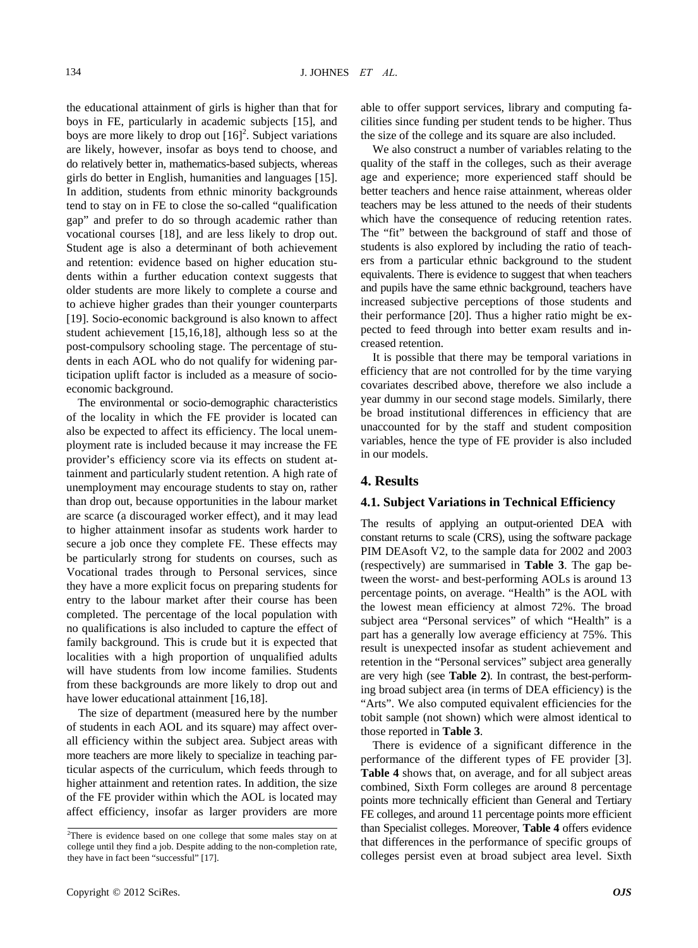the educational attainment of girls is higher than that for boys in FE, particularly in academic subjects [15], and boys are more likely to drop out  $[16]^2$ . Subject variations are likely, however, insofar as boys tend to choose, and do relatively better in, mathematics-based subjects, whereas girls do better in English, humanities and languages [15]. In addition, students from ethnic minority backgrounds tend to stay on in FE to close the so-called "qualification gap" and prefer to do so through academic rather than vocational courses [18], and are less likely to drop out. Student age is also a determinant of both achievement and retention: evidence based on higher education students within a further education context suggests that older students are more likely to complete a course and to achieve higher grades than their younger counterparts [19]. Socio-economic background is also known to affect student achievement [15,16,18], although less so at the post-compulsory schooling stage. The percentage of students in each AOL who do not qualify for widening participation uplift factor is included as a measure of socioeconomic background.

The environmental or socio-demographic characteristics of the locality in which the FE provider is located can also be expected to affect its efficiency. The local unemployment rate is included because it may increase the FE provider's efficiency score via its effects on student attainment and particularly student retention. A high rate of unemployment may encourage students to stay on, rather than drop out, because opportunities in the labour market are scarce (a discouraged worker effect), and it may lead to higher attainment insofar as students work harder to secure a job once they complete FE. These effects may be particularly strong for students on courses, such as Vocational trades through to Personal services, since they have a more explicit focus on preparing students for entry to the labour market after their course has been completed. The percentage of the local population with no qualifications is also included to capture the effect of family background. This is crude but it is expected that localities with a high proportion of unqualified adults will have students from low income families. Students from these backgrounds are more likely to drop out and have lower educational attainment [16,18].

The size of department (measured here by the number of students in each AOL and its square) may affect overall efficiency within the subject area. Subject areas with more teachers are more likely to specialize in teaching particular aspects of the curriculum, which feeds through to higher attainment and retention rates. In addition, the size of the FE provider within which the AOL is located may affect efficiency, insofar as larger providers are more

able to offer support services, library and computing facilities since funding per student tends to be higher. Thus the size of the college and its square are also included.

We also construct a number of variables relating to the quality of the staff in the colleges, such as their average age and experience; more experienced staff should be better teachers and hence raise attainment, whereas older teachers may be less attuned to the needs of their students which have the consequence of reducing retention rates. The "fit" between the background of staff and those of students is also explored by including the ratio of teachers from a particular ethnic background to the student equivalents. There is evidence to suggest that when teachers and pupils have the same ethnic background, teachers have increased subjective perceptions of those students and their performance [20]. Thus a higher ratio might be expected to feed through into better exam results and increased retention.

It is possible that there may be temporal variations in efficiency that are not controlled for by the time varying covariates described above, therefore we also include a year dummy in our second stage models. Similarly, there be broad institutional differences in efficiency that are unaccounted for by the staff and student composition variables, hence the type of FE provider is also included in our models.

## **4. Results**

#### **4.1. Subject Variations in Technical Efficiency**

The results of applying an output-oriented DEA with constant returns to scale (CRS), using the software package PIM DEAsoft V2, to the sample data for 2002 and 2003 (respectively) are summarised in **Table 3**. The gap between the worst- and best-performing AOLs is around 13 percentage points, on average. "Health" is the AOL with the lowest mean efficiency at almost 72%. The broad subject area "Personal services" of which "Health" is a part has a generally low average efficiency at 75%. This result is unexpected insofar as student achievement and retention in the "Personal services" subject area generally are very high (see **Table 2**). In contrast, the best-performing broad subject area (in terms of DEA efficiency) is the "Arts". We also computed equivalent efficiencies for the tobit sample (not shown) which were almost identical to those reported in **Table 3**.

There is evidence of a significant difference in the performance of the different types of FE provider [3]. **Table 4** shows that, on average, and for all subject areas combined, Sixth Form colleges are around 8 percentage points more technically efficient than General and Tertiary FE colleges, and around 11 percentage points more efficient than Specialist colleges. Moreover, **Table 4** offers evidence that differences in the performance of specific groups of colleges persist even at broad subject area level. Sixth

<sup>&</sup>lt;sup>2</sup>There is evidence based on one college that some males stay on at college until they find a job. Despite adding to the non-completion rate, they have in fact been "successful" [17].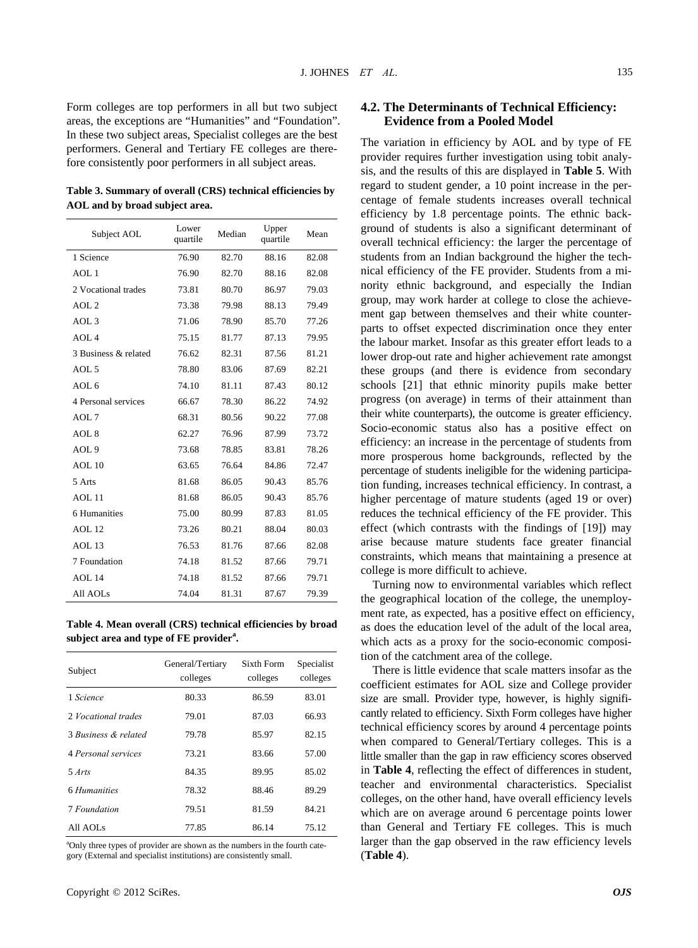Form colleges are top performers in all but two subject areas, the exceptions are "Humanities" and "Foundation". In these two subject areas, Specialist colleges are the best performers. General and Tertiary FE colleges are therefore consistently poor performers in all subject areas.

**Table 3. Summary of overall (CRS) technical efficiencies by AOL and by broad subject area.** 

| Subject AOL          | Lower<br>quartile | Median | Upper<br>quartile | Mean  |
|----------------------|-------------------|--------|-------------------|-------|
| 1 Science            | 76.90             | 82.70  | 88.16             | 82.08 |
| AOL 1                | 76.90             | 82.70  | 88.16             | 82.08 |
| 2 Vocational trades  | 73.81             | 80.70  | 86.97             | 79.03 |
| AOL <sub>2</sub>     | 73.38             | 79.98  | 88.13             | 79.49 |
| AOL <sub>3</sub>     | 71.06             | 78.90  | 85.70             | 77.26 |
| AOL <sub>4</sub>     | 75.15             | 81.77  | 87.13             | 79.95 |
| 3 Business & related | 76.62             | 82.31  | 87.56             | 81.21 |
| AOL 5                | 78.80             | 83.06  | 87.69             | 82.21 |
| AOL 6                | 74.10             | 81.11  | 87.43             | 80.12 |
| 4 Personal services  | 66.67             | 78.30  | 86.22             | 74.92 |
| AOL 7                | 68.31             | 80.56  | 90.22             | 77.08 |
| AOL <sub>8</sub>     | 62.27             | 76.96  | 87.99             | 73.72 |
| AOL <sub>9</sub>     | 73.68             | 78.85  | 83.81             | 78.26 |
| $AOL$ 10             | 63.65             | 76.64  | 84.86             | 72.47 |
| 5 Arts               | 81.68             | 86.05  | 90.43             | 85.76 |
| AOL 11               | 81.68             | 86.05  | 90.43             | 85.76 |
| 6 Humanities         | 75.00             | 80.99  | 87.83             | 81.05 |
| AOL 12               | 73.26             | 80.21  | 88.04             | 80.03 |
| AOL 13               | 76.53             | 81.76  | 87.66             | 82.08 |
| 7 Foundation         | 74.18             | 81.52  | 87.66             | 79.71 |
| AOL 14               | 74.18             | 81.52  | 87.66             | 79.71 |
| All AOLs             | 74.04             | 81.31  | 87.67             | 79.39 |

**Table 4. Mean overall (CRS) technical efficiencies by broad subject area and type of FE provider<sup>a</sup> .**

| Subject              | General/Tertiary<br>colleges | Sixth Form<br>colleges | Specialist<br>colleges |
|----------------------|------------------------------|------------------------|------------------------|
| 1 Science            | 80.33                        | 86.59                  | 83.01                  |
| 2. Vocational trades | 79.01                        | 87.03                  | 66.93                  |
| 3 Business & related | 79.78                        | 85.97                  | 82.15                  |
| 4 Personal services  | 73.21                        | 83.66                  | 57.00                  |
| $5 \text{ Arts}$     | 84.35                        | 89.95                  | 85.02                  |
| 6 Humanities         | 78.32                        | 88.46                  | 89.29                  |
| 7 Foundation         | 79.51                        | 81.59                  | 84.21                  |
| All AOLs             | 77.85                        | 86.14                  | 75.12                  |

<sup>a</sup>Only three types of provider are shown as the numbers in the fourth category (External and specialist institutions) are consistently small.

## **4.2. The Determinants of Technical Efficiency: Evidence from a Pooled Model**

The variation in efficiency by AOL and by type of FE provider requires further investigation using tobit analysis, and the results of this are displayed in **Table 5**. With regard to student gender, a 10 point increase in the percentage of female students increases overall technical efficiency by 1.8 percentage points. The ethnic background of students is also a significant determinant of overall technical efficiency: the larger the percentage of students from an Indian background the higher the technical efficiency of the FE provider. Students from a minority ethnic background, and especially the Indian group, may work harder at college to close the achievement gap between themselves and their white counterparts to offset expected discrimination once they enter the labour market. Insofar as this greater effort leads to a lower drop-out rate and higher achievement rate amongst these groups (and there is evidence from secondary schools [21] that ethnic minority pupils make better progress (on average) in terms of their attainment than their white counterparts), the outcome is greater efficiency. Socio-economic status also has a positive effect on efficiency: an increase in the percentage of students from more prosperous home backgrounds, reflected by the percentage of students ineligible for the widening participation funding, increases technical efficiency. In contrast, a higher percentage of mature students (aged 19 or over) reduces the technical efficiency of the FE provider. This effect (which contrasts with the findings of [19]) may arise because mature students face greater financial constraints, which means that maintaining a presence at college is more difficult to achieve.

Turning now to environmental variables which reflect the geographical location of the college, the unemployment rate, as expected, has a positive effect on efficiency, as does the education level of the adult of the local area, which acts as a proxy for the socio-economic composition of the catchment area of the college.

There is little evidence that scale matters insofar as the coefficient estimates for AOL size and College provider size are small. Provider type, however, is highly significantly related to efficiency. Sixth Form colleges have higher technical efficiency scores by around 4 percentage points when compared to General/Tertiary colleges. This is a little smaller than the gap in raw efficiency scores observed in **Table 4**, reflecting the effect of differences in student, teacher and environmental characteristics. Specialist colleges, on the other hand, have overall efficiency levels which are on average around 6 percentage points lower than General and Tertiary FE colleges. This is much larger than the gap observed in the raw efficiency levels (**Table 4**).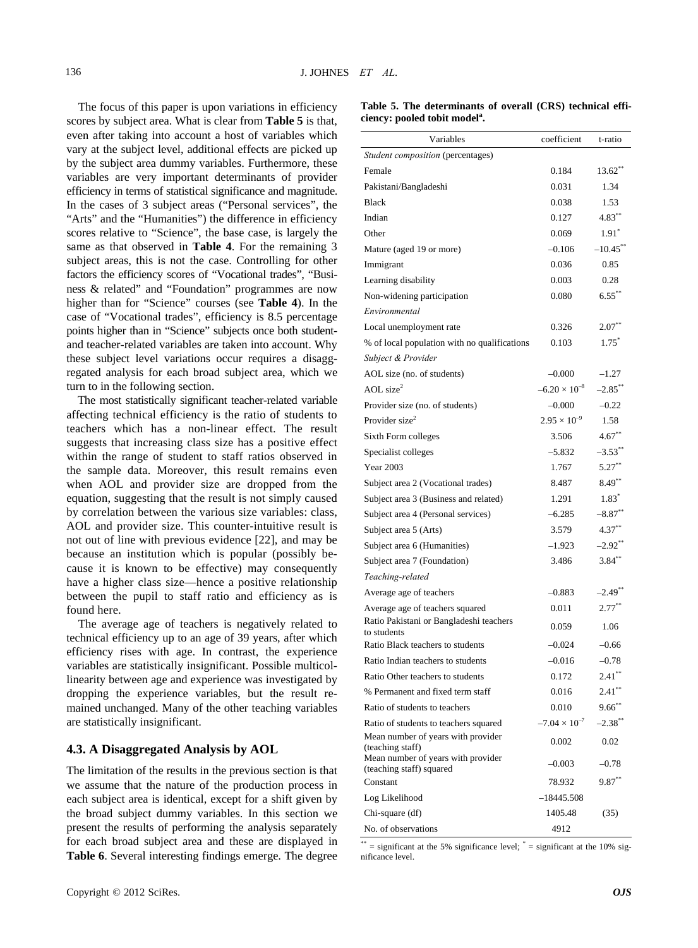The focus of this paper is upon variations in efficiency scores by subject area. What is clear from **Table 5** is that, even after taking into account a host of variables which vary at the subject level, additional effects are picked up by the subject area dummy variables. Furthermore, these variables are very important determinants of provider efficiency in terms of statistical significance and magnitude. In the cases of 3 subject areas ("Personal services", the "Arts" and the "Humanities") the difference in efficiency scores relative to "Science", the base case, is largely the same as that observed in **Table 4**. For the remaining 3 subject areas, this is not the case. Controlling for other factors the efficiency scores of "Vocational trades", "Business & related" and "Foundation" programmes are now higher than for "Science" courses (see **Table 4**). In the case of "Vocational trades", efficiency is 8.5 percentage points higher than in "Science" subjects once both studentand teacher-related variables are taken into account. Why these subject level variations occur requires a disaggregated analysis for each broad subject area, which we turn to in the following section.

The most statistically significant teacher-related variable affecting technical efficiency is the ratio of students to teachers which has a non-linear effect. The result suggests that increasing class size has a positive effect within the range of student to staff ratios observed in the sample data. Moreover, this result remains even when AOL and provider size are dropped from the equation, suggesting that the result is not simply caused by correlation between the various size variables: class, AOL and provider size. This counter-intuitive result is not out of line with previous evidence [22], and may be because an institution which is popular (possibly because it is known to be effective) may consequently have a higher class size—hence a positive relationship between the pupil to staff ratio and efficiency as is found here.

The average age of teachers is negatively related to technical efficiency up to an age of 39 years, after which efficiency rises with age. In contrast, the experience variables are statistically insignificant. Possible multicollinearity between age and experience was investigated by dropping the experience variables, but the result remained unchanged. Many of the other teaching variables are statistically insignificant.

#### **4.3. A Disaggregated Analysis by AOL**

The limitation of the results in the previous section is that we assume that the nature of the production process in each subject area is identical, except for a shift given by the broad subject dummy variables. In this section we present the results of performing the analysis separately for each broad subject area and these are displayed in **Table 6**. Several interesting findings emerge. The degree

| Table 5. The determinants of overall (CRS) technical effi- |  |  |
|------------------------------------------------------------|--|--|
| ciency: pooled tobit model <sup>a</sup> .                  |  |  |

| Variables                                                      | coefficient            | t-ratio               |
|----------------------------------------------------------------|------------------------|-----------------------|
| Student composition (percentages)                              |                        |                       |
| Female                                                         | 0.184                  | $13.62**$             |
| Pakistani/Bangladeshi                                          | 0.031                  | 1.34                  |
| <b>Black</b>                                                   | 0.038                  | 1.53                  |
| Indian                                                         | 0.127                  | $4.83***$             |
| Other                                                          | 0.069                  | $1.91^*$              |
| Mature (aged 19 or more)                                       | $-0.106$               | $-10.45$ **           |
| Immigrant                                                      | 0.036                  | 0.85                  |
| Learning disability                                            | 0.003                  | 0.28                  |
| Non-widening participation                                     | 0.080                  | $6.55***$             |
| Environmental                                                  |                        |                       |
| Local unemployment rate                                        | 0.326                  | $2.07**$              |
| % of local population with no qualifications                   | 0.103                  | $1.75^*$              |
| Subject & Provider                                             |                        |                       |
| AOL size (no. of students)                                     | $-0.000$               | $-1.27$               |
| AOL size <sup>2</sup>                                          | $-6.20 \times 10^{-8}$ | $-2.85$ **            |
| Provider size (no. of students)                                | $-0.000$               | $-0.22$               |
| Provider size <sup>2</sup>                                     | $2.95 \times 10^{-9}$  | 1.58                  |
| Sixth Form colleges                                            | 3.506                  | $4.67**$              |
| Specialist colleges                                            | $-5.832$               | $-3.53$ <sup>**</sup> |
| <b>Year 2003</b>                                               | 1.767                  | $5.27***$             |
| Subject area 2 (Vocational trades)                             | 8.487                  | $8.49***$             |
| Subject area 3 (Business and related)                          | 1.291                  | $1.83*$               |
| Subject area 4 (Personal services)                             | $-6.285$               | $-8.87**$             |
| Subject area 5 (Arts)                                          | 3.579                  | $4.37***$             |
| Subject area 6 (Humanities)                                    | $-1.923$               | $-2.92$ **            |
| Subject area 7 (Foundation)                                    | 3.486                  | $3.84***$             |
| Teaching-related                                               |                        |                       |
| Average age of teachers                                        | $-0.883$               | -2.49**               |
| Average age of teachers squared                                | 0.011                  | $2.77***$             |
| Ratio Pakistani or Bangladeshi teachers<br>to students         | 0.059                  | 1.06                  |
| Ratio Black teachers to students                               | $-0.024$               | $-0.66$               |
| Ratio Indian teachers to students                              | $-0.016$               | $-0.78$               |
| Ratio Other teachers to students                               | 0.172                  | $2.41***$             |
| % Permanent and fixed term staff                               | 0.016                  | $2.41***$             |
| Ratio of students to teachers                                  | 0.010                  | $9.66***$             |
| Ratio of students to teachers squared                          | $-7.04 \times 10^{-7}$ | $-2.38***$            |
| Mean number of years with provider<br>(teaching staff)         | 0.002                  | 0.02                  |
| Mean number of years with provider<br>(teaching staff) squared | $-0.003$               | $-0.78$               |
| Constant                                                       | 78.932                 | $9.87**$              |
| Log Likelihood                                                 | $-18445.508$           |                       |
| Chi-square (df)                                                | 1405.48                | (35)                  |
| No. of observations                                            | 4912                   |                       |

 $**$  = significant at the 5% significance level;  $*$  = significant at the 10% significance level.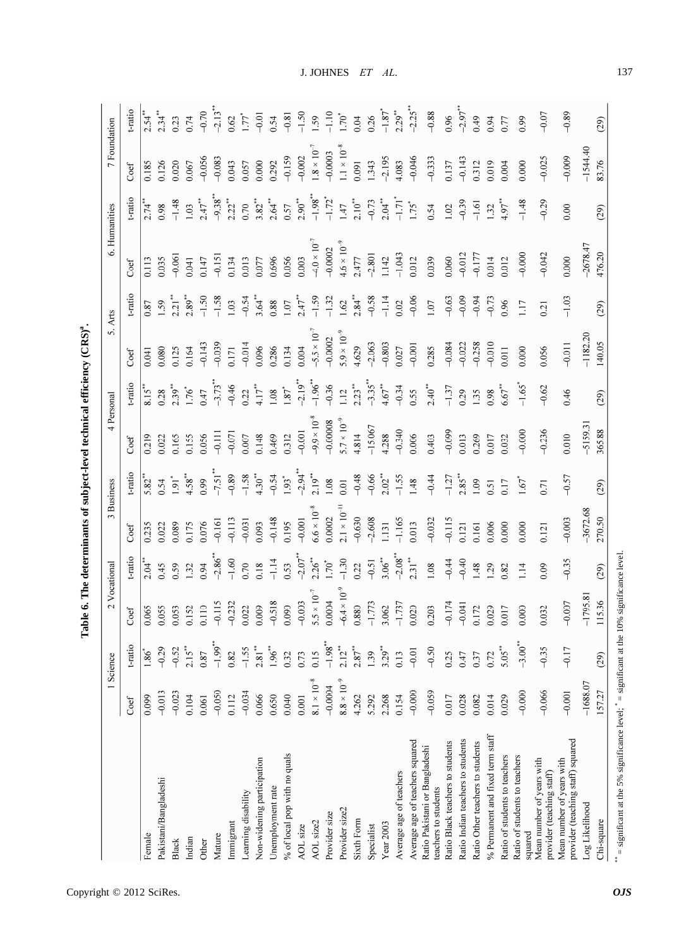|                                                                |                      | 1 Science       |                       | 2 Vocational          |                       | 3 Business            | 4 Personal            |                      | 5. Arts               |           | 6. Humanities         |                       | 7 Foundation         |                       |
|----------------------------------------------------------------|----------------------|-----------------|-----------------------|-----------------------|-----------------------|-----------------------|-----------------------|----------------------|-----------------------|-----------|-----------------------|-----------------------|----------------------|-----------------------|
|                                                                | Coef                 | $t$ -ratio      | Coef                  | t-ratio               | Coef                  | t-ratio               | Coef                  | t-ratio              | Coef                  | t-ratio   | Coef                  | t-ratio               | Coef                 | t-ratio               |
| Female                                                         | 0.099                | $\frac{98}{18}$ | 0.065                 | 2.04                  | 0.235                 | $5.82***$             | 0.219                 | 8.15                 | 0.041                 | 0.87      | 0.113                 | 2.74                  | 0.185                | $2.54***$             |
| Pakistani/Bangladeshi                                          | $-0.013$             | $-0.29$         | 0.055                 | 0.45                  | 0.022                 | 0.54                  | 0.022                 | 0.28                 | 0.080                 | 1.59      | 0.035                 | 0.98                  | 0.126                | $2.34***$             |
| <b>Black</b>                                                   | $-0.023$             | $-0.52$         | 0.053                 | 0.59                  | 0.89                  | $\overline{16}$       | 0.165                 | $2.39***$            | 0.125                 | $2.21***$ | $-0.061$              | $-1.48$               | 0.020                | 0.23                  |
| Indian                                                         | 0.104                | $2.15***$       | 0.152                 | 1.32                  | 1.175                 | $4.58**$              | 0.155                 | $-1.76$              | 1.164                 | $2.89***$ | 0.041                 | 1.03                  | 0.067                | 0.74                  |
| Other                                                          | 0.061                | 0.87            | 0.110                 | 0.94                  | 0.76                  | 0.99                  | 0.056                 | 0.47                 | $-0.143$              | $-1.50$   | 0.147                 | $2.47***$             | $-0.056$             | $-0.70$               |
| Mature                                                         | $-0.050$             | $-1.99***$      | $-0.115$              | $-2.86$ <sup>**</sup> | $-0.161$              | $-7.51$ <sup>**</sup> | $-0.111$              | $-3.73***$           | $-0.039$              | $-1.58$   | $-0.151$              | $-9.38***$            | $-0.083$             | $-2.13$ <sup>**</sup> |
| Immigrant                                                      | 0.112                | 0.82            | $-0.232$              | $-1.60$               | $-0.113$              | $-0.89$               | $-0.071$              | $-0.46$              | 0.171                 | 1.03      | 0.134                 | $2.22***$             | 0.043                | 0.62                  |
| Learning disability                                            | $-0.034$             | $-1.55$         | 0.022                 | 0.70                  | $-0.031$              | $-1.58$               | 0.007                 | 0.22                 | $-0.014$              | $-0.54$   | 0.013                 | 0.70                  | 0.057                | 1.77                  |
| Non-widening participation                                     | 0.066                | $2.81**$        | 0.009                 | 0.18                  | 0.093                 | $4.30***$             | 0.148                 | $4.17***$            | 0.096                 | $3.64**$  | 0.077                 | $3.82**$              | 0.000                | $-0.01$               |
| Unemployment rate                                              | 0.650                | $1.96^{**}$     | $-0.518$              | $-1.14$               | $-0.148$              | $-0.54$               | 0.469                 | 1.08                 | 0.286                 | 0.88      | 0.696                 | $2.64***$             | 0.292                | 0.54                  |
| % of local pop with no quals                                   | 0.040                | 0.32            | 0.090                 | 0.53                  | 0.195                 | $1.93*$               | 0.312                 | $1.87*$              | 0.134                 | 1.07      | 0.056                 | 0.57                  | $-0.159$             | $-0.81$               |
| AOL size                                                       | 0.001                | 0.73            | $-0.003$              | $-2.07$               | $-0.001$              | $2.94$ <sup>*</sup>   | $-0.001$              | $-2.19$ <sup>*</sup> | 0.004                 | $2.47**$  | 0.003                 | $2.90**$              | $-0.002$             | $-1.50$               |
| AOL size2                                                      | $8.1 \times 10^{-8}$ | 0.15            | $5.5 \times 10^{-7}$  | $2.26***$             | $6.6 \times 10^{-8}$  | $2.19***$             | $-9.9 \times 10^{-8}$ | $-1.96$ <sup>*</sup> | $-5.5 \times 10^{-7}$ | $-1.59$   | $-4.0 \times 10^{-7}$ | $-1.98$ <sup>**</sup> | $.8 \times 10^{-7}$  | 1.59                  |
| Provider size                                                  | $-0.0004$            | $-1.98$ **      | 0.0004                | 0.70                  | 0.0002                | 1.08                  | $-0.00008$            | $-0.36$              | $-0.0002$             | $-1.32$   | $-0.0002$             | $-1.72$ <sup>*</sup>  | $-0.0003$            | $-1.10$               |
| Provider size2                                                 | $8.8\times10^{-9}$   | $2.12***$       | $-6.4 \times 10^{-9}$ | $-1.30$               | $2.1 \times 10^{-11}$ | 0.01                  | $5.7 \times 10^{-9}$  | 1.12                 | $5.9 \times 10^{-9}$  | 1.62      | $4.6 \times 10^{-9}$  | 1.47                  | $1.1 \times 10^{-8}$ | .70°                  |
| Sixth Form                                                     | 4.262                | $2.87***$       | 0.880                 | 0.22                  | $-0.630$              | $-0.48$               | 4.814                 | $2.23***$            | 4.629                 | 2.84      | 2.477                 | $2.10^{**}$           | 0.091                | 0.04                  |
| Specialist                                                     | 5.292                | 1.39            | $-1.773$              | $-0.51$               | $-2.608$              | $-0.66$               | $-15.067$             | $-3.35$ <sup>*</sup> | $-2.063$              | $-0.58$   | $-2.801$              | $-0.73$               | 1.343                | 0.26                  |
| Year 2003                                                      | 2.268                | $3.29***$       | 3.062                 | $3.06***$             | 1.131                 | $2.02***$             | 4.288                 | $4.67***$            | $-0.803$              | $-1.14$   | 1.142                 | $2.04***$             | $-2.195$             | $-1.87$               |
| Average age of teachers                                        | 0.154                | 0.13            | $-1.737$              | $-2.08$ <sup>**</sup> | $-1.165$              | $-1.55$               | $-0.340$              | $-0.34$              | 0.027                 | 0.02      | $-1.043$              | $-1.71$ <sup>*</sup>  | 4.083                | $2.29***$             |
| Average age of teachers squared                                | $-0.000$             | $-0.01$         | 0.020                 | $2.31***$             | 0.013                 | 1.48                  | 0.006                 | 0.55                 | $-0.001$              | $-0.06$   | 0.012                 | i.75*                 | $-0.046$             | $-2.25$               |
| Ratio Pakistani or Bangladeshi<br>teachers to students         | $-0.059$             | $-0.50$         | 0.203                 | 1.08                  | $-0.032$              | $-0.44$               | 0.403                 | $2.40**$             | 0.285                 | 1.07      | 0.039                 | 0.54                  | $-0.333$             | $-0.88$               |
| Ratio Black teachers to students                               | 0.017                | 0.25            | $-0.174$              | $-0.44$               | $-0.115$              | $-1.27$               | $-0.099$              | $-1.37$              | $-0.084$              | $-0.63$   | 0.060                 | 1.02                  | 0.137                | 0.96                  |
| Ratio Indian teachers to students                              | 0.028                | 0.47            | $-0.041$              | $-0.40$               | 0.121                 | $2.85***$             | 0.013                 | 0.29                 | $-0.022$              | $-0.09$   | $-0.012$              | $-0.39$               | $-0.143$             | $-2.97$ <sup>*</sup>  |
| Ratio Other teachers to students                               | 0.082                | 0.37            | 0.172                 | 48                    | 0.161                 | 1.09                  | 0.269                 | 1.35                 | $-0.258$              | $-0.94$   | $-0.177$              | $-1.61$               | 0.312                | 0.49                  |
| % Permanent and fixed term staff                               | 0.014                | 0.72            | 0.029                 | 29                    | 0.006                 | 0.51                  | 0.017                 | 0.98                 | $-0.010$              | $-0.73$   | 0.014                 | 1.32                  | 0.019                | 0.94                  |
| Ratio of students to teachers                                  | 0.029                | $5.05***$       | 0.017                 | 0.82                  | 0.000                 | 0.17                  | 0.032                 | $6.67***$            | 0.011                 | 0.96      | 0.012                 | $4.97***$             | 0.004                | 0.77                  |
| Ratio of students to teachers<br>squared                       | $-0.000$             | $-3.00**$       | 0.000                 | 14                    | 0.000                 | $-1.67$               | $-0.000$              | $-1.65$ <sup>*</sup> | 0.000                 | 117       | $-0.000$              | $-1.48$               | 0.000                | 0.99                  |
| Mean number of years with<br>provider (teaching staff)         | $-0.066$             | $-0.35$         | 0.032                 | 0.09                  | 0.121                 | 0.71                  | $-0.236$              | $-0.62$              | 0.056                 | 0.21      | $-0.042$              | $-0.29$               | $-0.025$             | $-0.07$               |
| provider (teaching staff) squared<br>Mean number of years with | $-0.001$             | $-0.17$         | $-0.007$              | $-0.35$               | $-0.003$              | $-0.57$               | 0.010                 | 0.46                 | $-0.011$              | $-1.03$   | 0.000                 | 0.00                  | $-0.009$             | $-0.89$               |
| Log Likelihood                                                 | $-1688.07$           |                 | $-1795.8$             |                       | $-3672.68$            |                       | $-5159.31$            |                      | $-1182.20$            |           | $-2678.47$            |                       | $-1544.40$           |                       |
| Chi-square                                                     | 157.27               | (29)            | 115.36                | (29)                  | 270.50                | (29)                  | 365.88                | (29)                 | 140.05                | (29)      | 476.20                | (29)                  | 83.76                | (29)                  |

| こくりく      |
|-----------|
|           |
|           |
|           |
| í         |
|           |
|           |
|           |
|           |
|           |
|           |
|           |
| <br> <br> |
| ļ         |
|           |
|           |
|           |
|           |
|           |
|           |
|           |
| i         |
|           |

۰

 $*$  = significant at the 5% significance level;  $*$  = significant at the 10% significance level.

 $\frac{1}{2}$  significant at the 5% significance level;  $\frac{1}{2}$  = significant at the 10% significance level.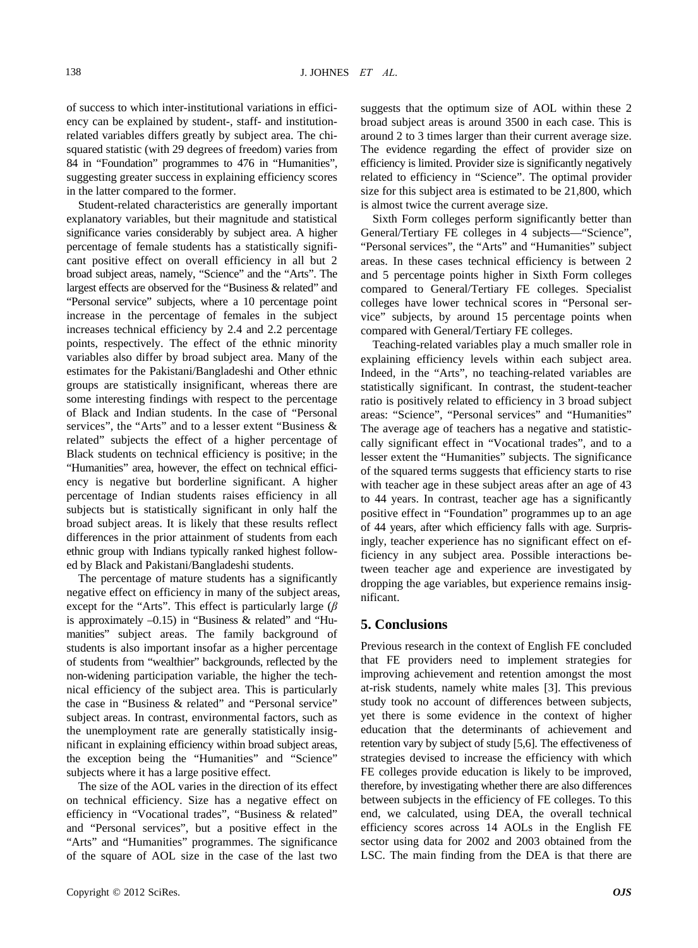of success to which inter-institutional variations in efficiency can be explained by student-, staff- and institutionrelated variables differs greatly by subject area. The chisquared statistic (with 29 degrees of freedom) varies from 84 in "Foundation" programmes to 476 in "Humanities", suggesting greater success in explaining efficiency scores in the latter compared to the former.

Student-related characteristics are generally important explanatory variables, but their magnitude and statistical significance varies considerably by subject area. A higher percentage of female students has a statistically significant positive effect on overall efficiency in all but 2 broad subject areas, namely, "Science" and the "Arts". The largest effects are observed for the "Business & related" and "Personal service" subjects, where a 10 percentage point increase in the percentage of females in the subject increases technical efficiency by 2.4 and 2.2 percentage points, respectively. The effect of the ethnic minority variables also differ by broad subject area. Many of the estimates for the Pakistani/Bangladeshi and Other ethnic groups are statistically insignificant, whereas there are some interesting findings with respect to the percentage of Black and Indian students. In the case of "Personal services", the "Arts" and to a lesser extent "Business & related" subjects the effect of a higher percentage of Black students on technical efficiency is positive; in the "Humanities" area, however, the effect on technical efficiency is negative but borderline significant. A higher percentage of Indian students raises efficiency in all subjects but is statistically significant in only half the broad subject areas. It is likely that these results reflect differences in the prior attainment of students from each ethnic group with Indians typically ranked highest followed by Black and Pakistani/Bangladeshi students.

The percentage of mature students has a significantly negative effect on efficiency in many of the subject areas, except for the "Arts". This effect is particularly large (*β* is approximately  $-0.15$ ) in "Business & related" and "Humanities" subject areas. The family background of students is also important insofar as a higher percentage of students from "wealthier" backgrounds, reflected by the non-widening participation variable, the higher the technical efficiency of the subject area. This is particularly the case in "Business & related" and "Personal service" subject areas. In contrast, environmental factors, such as the unemployment rate are generally statistically insignificant in explaining efficiency within broad subject areas, the exception being the "Humanities" and "Science" subjects where it has a large positive effect.

The size of the AOL varies in the direction of its effect on technical efficiency. Size has a negative effect on efficiency in "Vocational trades", "Business & related" and "Personal services", but a positive effect in the "Arts" and "Humanities" programmes. The significance of the square of AOL size in the case of the last two

suggests that the optimum size of AOL within these 2 broad subject areas is around 3500 in each case. This is around 2 to 3 times larger than their current average size. The evidence regarding the effect of provider size on efficiency is limited. Provider size is significantly negatively related to efficiency in "Science". The optimal provider size for this subject area is estimated to be 21,800, which is almost twice the current average size.

Sixth Form colleges perform significantly better than General/Tertiary FE colleges in 4 subjects—"Science", "Personal services", the "Arts" and "Humanities" subject areas. In these cases technical efficiency is between 2 and 5 percentage points higher in Sixth Form colleges compared to General/Tertiary FE colleges. Specialist colleges have lower technical scores in "Personal service" subjects, by around 15 percentage points when compared with General/Tertiary FE colleges.

Teaching-related variables play a much smaller role in explaining efficiency levels within each subject area. Indeed, in the "Arts", no teaching-related variables are statistically significant. In contrast, the student-teacher ratio is positively related to efficiency in 3 broad subject areas: "Science", "Personal services" and "Humanities" The average age of teachers has a negative and statisticcally significant effect in "Vocational trades", and to a lesser extent the "Humanities" subjects. The significance of the squared terms suggests that efficiency starts to rise with teacher age in these subject areas after an age of 43 to 44 years. In contrast, teacher age has a significantly positive effect in "Foundation" programmes up to an age of 44 years, after which efficiency falls with age. Surprisingly, teacher experience has no significant effect on efficiency in any subject area. Possible interactions between teacher age and experience are investigated by dropping the age variables, but experience remains insignificant.

## **5. Conclusions**

Previous research in the context of English FE concluded that FE providers need to implement strategies for improving achievement and retention amongst the most at-risk students, namely white males [3]. This previous study took no account of differences between subjects, yet there is some evidence in the context of higher education that the determinants of achievement and retention vary by subject of study [5,6]. The effectiveness of strategies devised to increase the efficiency with which FE colleges provide education is likely to be improved, therefore, by investigating whether there are also differences between subjects in the efficiency of FE colleges. To this end, we calculated, using DEA, the overall technical efficiency scores across 14 AOLs in the English FE sector using data for 2002 and 2003 obtained from the LSC. The main finding from the DEA is that there are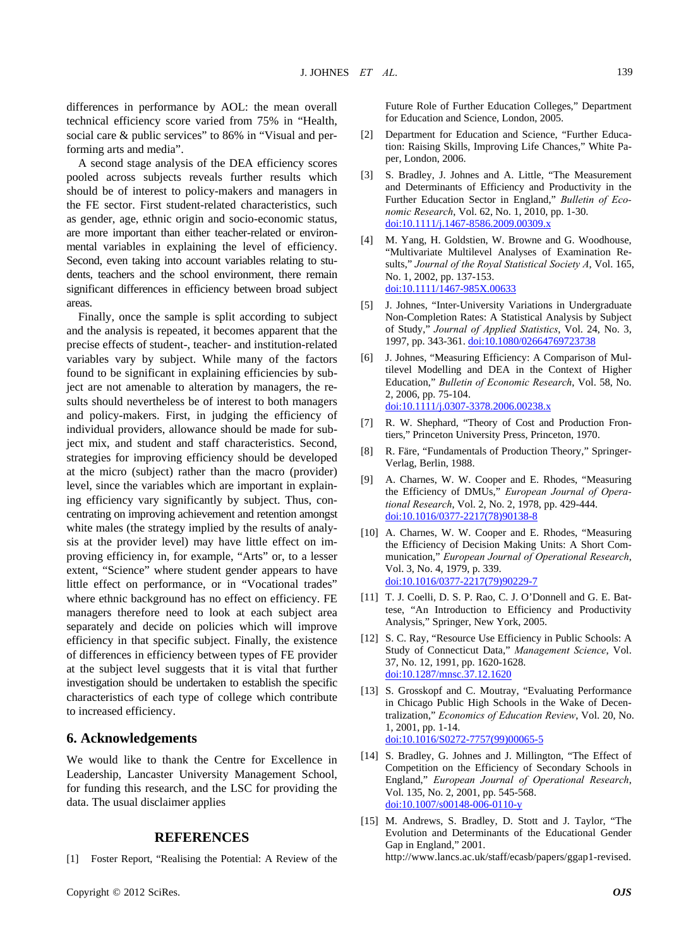differences in performance by AOL: the mean overall technical efficiency score varied from 75% in "Health, social care & public services" to 86% in "Visual and performing arts and media".

A second stage analysis of the DEA efficiency scores pooled across subjects reveals further results which should be of interest to policy-makers and managers in the FE sector. First student-related characteristics, such as gender, age, ethnic origin and socio-economic status, are more important than either teacher-related or environmental variables in explaining the level of efficiency. Second, even taking into account variables relating to students, teachers and the school environment, there remain significant differences in efficiency between broad subject areas.

Finally, once the sample is split according to subject and the analysis is repeated, it becomes apparent that the precise effects of student-, teacher- and institution-related variables vary by subject. While many of the factors found to be significant in explaining efficiencies by subject are not amenable to alteration by managers, the results should nevertheless be of interest to both managers and policy-makers. First, in judging the efficiency of individual providers, allowance should be made for subject mix, and student and staff characteristics. Second, strategies for improving efficiency should be developed at the micro (subject) rather than the macro (provider) level, since the variables which are important in explaining efficiency vary significantly by subject. Thus, concentrating on improving achievement and retention amongst white males (the strategy implied by the results of analysis at the provider level) may have little effect on improving efficiency in, for example, "Arts" or, to a lesser extent, "Science" where student gender appears to have little effect on performance, or in "Vocational trades" where ethnic background has no effect on efficiency. FE managers therefore need to look at each subject area separately and decide on policies which will improve efficiency in that specific subject. Finally, the existence of differences in efficiency between types of FE provider at the subject level suggests that it is vital that further investigation should be undertaken to establish the specific characteristics of each type of college which contribute to increased efficiency.

# **6. Acknowledgements**

We would like to thank the Centre for Excellence in Leadership, Lancaster University Management School, for funding this research, and the LSC for providing the data. The usual disclaimer applies

# **REFERENCES**

[1] Foster Report, "Realising the Potential: A Review of the

Future Role of Further Education Colleges," Department for Education and Science, London, 2005.

- [2] Department for Education and Science, "Further Education: Raising Skills, Improving Life Chances," White Paper, London, 2006.
- [3] S. Bradley, J. Johnes and A. Little, "The Measurement and Determinants of Efficiency and Productivity in the Further Education Sector in England," *Bulletin of Economic Research*, Vol. 62, No. 1, 2010, pp. 1-30. [doi:10.1111/j.1467-8586.2009.00309.x](http://dx.doi.org/10.1111/j.1467-8586.2009.00309.x)
- [4] M. Yang, H. Goldstien, W. Browne and G. Woodhouse, "Multivariate Multilevel Analyses of Examination Results," *Journal of the Royal Statistical Society A*, Vol. 165, No. 1, 2002, pp. 137-153. [doi:10.1111/1467-985X.00633](http://dx.doi.org/10.1111/1467-985X.00633)
- [5] J. Johnes, "Inter-University Variations in Undergraduate Non-Completion Rates: A Statistical Analysis by Subject of Study," *Journal of Applied Statistics*, Vol. 24, No. 3, 1997, pp. 343-361. [doi:10.1080/02664769723738](http://dx.doi.org/10.1080/02664769723738)
- [6] J. Johnes, "Measuring Efficiency: A Comparison of Multilevel Modelling and DEA in the Context of Higher Education," *Bulletin of Economic Research*, Vol. 58, No. 2, 2006, pp. 75-104. [doi:10.1111/j.0307-3378.2006.00238.x](http://dx.doi.org/10.1111/j.0307-3378.2006.00238.x)
- [7] R. W. Shephard, "Theory of Cost and Production Frontiers," Princeton University Press, Princeton, 1970.
- [8] R. Färe, "Fundamentals of Production Theory," Springer-Verlag, Berlin, 1988.
- [9] A. Charnes, W. W. Cooper and E. Rhodes, "Measuring the Efficiency of DMUs," *European Journal of Operational Research*, Vol. 2, No. 2, 1978, pp. 429-444. [doi:10.1016/0377-2217\(78\)90138-8](http://dx.doi.org/10.1016/0377-2217(78)90138-8)
- [10] A. Charnes, W. W. Cooper and E. Rhodes, "Measuring the Efficiency of Decision Making Units: A Short Communication," *European Journal of Operational Research*, Vol. 3, No. 4, 1979, p. 339. [doi:10.1016/0377-2217\(79\)90229-7](http://dx.doi.org/10.1016/0377-2217(79)90229-7)
- [11] T. J. Coelli, D. S. P. Rao, C. J. O'Donnell and G. E. Battese, "An Introduction to Efficiency and Productivity Analysis," Springer, New York, 2005.
- [12] S. C. Ray, "Resource Use Efficiency in Public Schools: A Study of Connecticut Data," *Management Science*, Vol. 37, No. 12, 1991, pp. 1620-1628. [doi:10.1287/mnsc.37.12.1620](http://dx.doi.org/10.1287/mnsc.37.12.1620)
- [13] S. Grosskopf and C. Moutray, "Evaluating Performance in Chicago Public High Schools in the Wake of Decentralization," *Economics of Education Review*, Vol. 20, No. 1, 2001, pp. 1-14. [doi:10.1016/S0272-7757\(99\)00065-5](http://dx.doi.org/10.1016/S0272-7757(99)00065-5)
- [14] S. Bradley, G. Johnes and J. Millington, "The Effect of Competition on the Efficiency of Secondary Schools in England," *European Journal of Operational Research*, Vol. 135, No. 2, 2001, pp. 545-568. [doi:10.1007/s00148-006-0110-y](http://dx.doi.org/10.1007/s00148-006-0110-y)
- [15] M. Andrews, S. Bradley, D. Stott and J. Taylor, "The Evolution and Determinants of the Educational Gender Gap in England," 2001. http://www.lancs.ac.uk/staff/ecasb/papers/ggap1-revised.